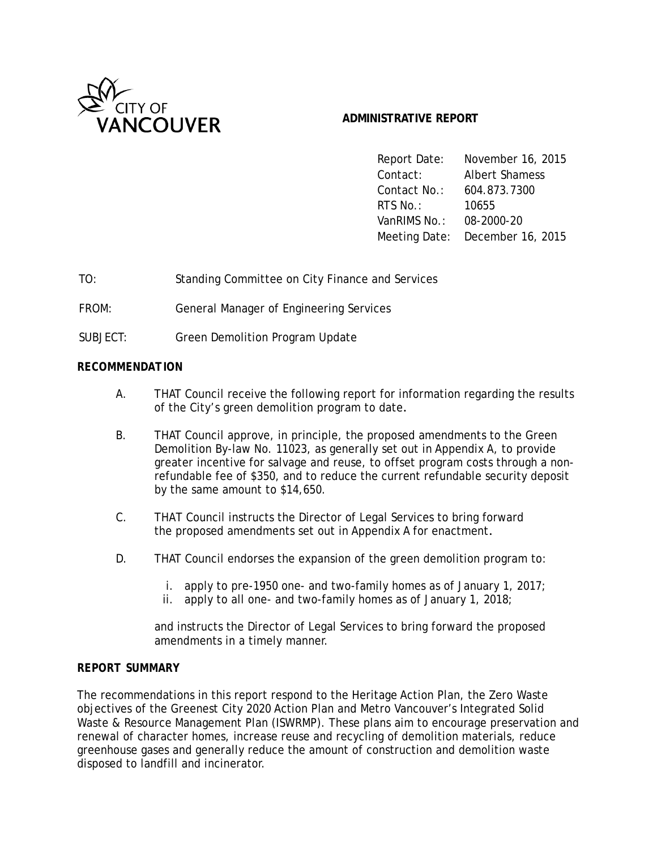

### **ADMINISTRATIVE REPORT**

Report Date: November 16, 2015 Contact: Albert Shamess Contact No.: 604.873.7300 RTS No.: 10655 VanRIMS No.: 08-2000-20 Meeting Date: December 16, 2015

TO: Standing Committee on City Finance and Services

FROM: General Manager of Engineering Services

SUBJECT: Green Demolition Program Update

#### *RECOMMENDATION*

- A. THAT Council receive the following report for information regarding the results of the City's green demolition program to date.
- B. THAT Council approve, in principle, the proposed amendments to the Green Demolition By-law No. 11023, as generally set out in Appendix A, to provide greater incentive for salvage and reuse, to offset program costs through a nonrefundable fee of \$350, and to reduce the current refundable security deposit by the same amount to \$14,650.
- C. THAT Council instructs the Director of Legal Services to bring forward the proposed amendments set out in Appendix A for enactment.
- D. THAT Council endorses the expansion of the green demolition program to:
	- i. apply to pre-1950 one- and two-family homes as of January 1, 2017;
	- ii. apply to all one- and two-family homes as of January 1, 2018;

and instructs the Director of Legal Services to bring forward the proposed amendments in a timely manner.

#### *REPORT SUMMARY*

The recommendations in this report respond to the Heritage Action Plan, the Zero Waste objectives of the Greenest City 2020 Action Plan and Metro Vancouver's Integrated Solid Waste & Resource Management Plan (ISWRMP). These plans aim to encourage preservation and renewal of character homes, increase reuse and recycling of demolition materials, reduce greenhouse gases and generally reduce the amount of construction and demolition waste disposed to landfill and incinerator.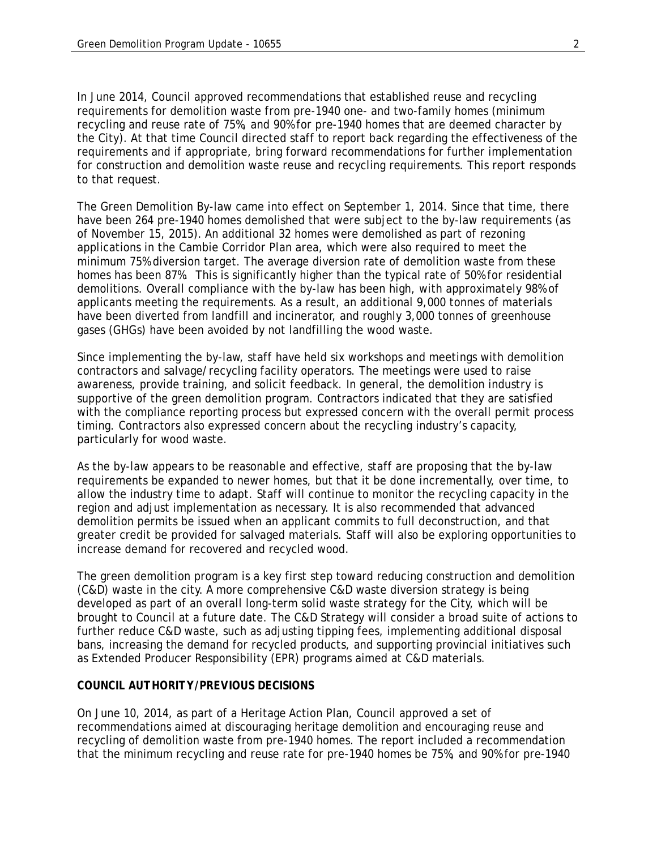In June 2014, Council approved recommendations that established reuse and recycling requirements for demolition waste from pre-1940 one- and two-family homes (minimum recycling and reuse rate of 75%, and 90% for pre-1940 homes that are deemed character by the City). At that time Council directed staff to report back regarding the effectiveness of the requirements and if appropriate, bring forward recommendations for further implementation for construction and demolition waste reuse and recycling requirements. This report responds to that request.

The Green Demolition By-law came into effect on September 1, 2014. Since that time, there have been 264 pre-1940 homes demolished that were subject to the by-law requirements (as of November 15, 2015). An additional 32 homes were demolished as part of rezoning applications in the Cambie Corridor Plan area, which were also required to meet the minimum 75% diversion target. The average diversion rate of demolition waste from these homes has been 87%. This is significantly higher than the typical rate of 50% for residential demolitions. Overall compliance with the by-law has been high, with approximately 98% of applicants meeting the requirements. As a result, an additional 9,000 tonnes of materials have been diverted from landfill and incinerator, and roughly 3,000 tonnes of greenhouse gases (GHGs) have been avoided by not landfilling the wood waste.

Since implementing the by-law, staff have held six workshops and meetings with demolition contractors and salvage/recycling facility operators. The meetings were used to raise awareness, provide training, and solicit feedback. In general, the demolition industry is supportive of the green demolition program. Contractors indicated that they are satisfied with the compliance reporting process but expressed concern with the overall permit process timing. Contractors also expressed concern about the recycling industry's capacity, particularly for wood waste.

As the by-law appears to be reasonable and effective, staff are proposing that the by-law requirements be expanded to newer homes, but that it be done incrementally, over time, to allow the industry time to adapt. Staff will continue to monitor the recycling capacity in the region and adjust implementation as necessary. It is also recommended that advanced demolition permits be issued when an applicant commits to full deconstruction, and that greater credit be provided for salvaged materials. Staff will also be exploring opportunities to increase demand for recovered and recycled wood.

The green demolition program is a key first step toward reducing construction and demolition (C&D) waste in the city. A more comprehensive C&D waste diversion strategy is being developed as part of an overall long-term solid waste strategy for the City, which will be brought to Council at a future date. The C&D Strategy will consider a broad suite of actions to further reduce C&D waste, such as adjusting tipping fees, implementing additional disposal bans, increasing the demand for recycled products, and supporting provincial initiatives such as Extended Producer Responsibility (EPR) programs aimed at C&D materials.

#### *COUNCIL AUTHORITY/PREVIOUS DECISIONS*

On June 10, 2014, as part of a Heritage Action Plan, Council approved a set of recommendations aimed at discouraging heritage demolition and encouraging reuse and recycling of demolition waste from pre-1940 homes. The report included a recommendation that the minimum recycling and reuse rate for pre-1940 homes be 75%, and 90% for pre-1940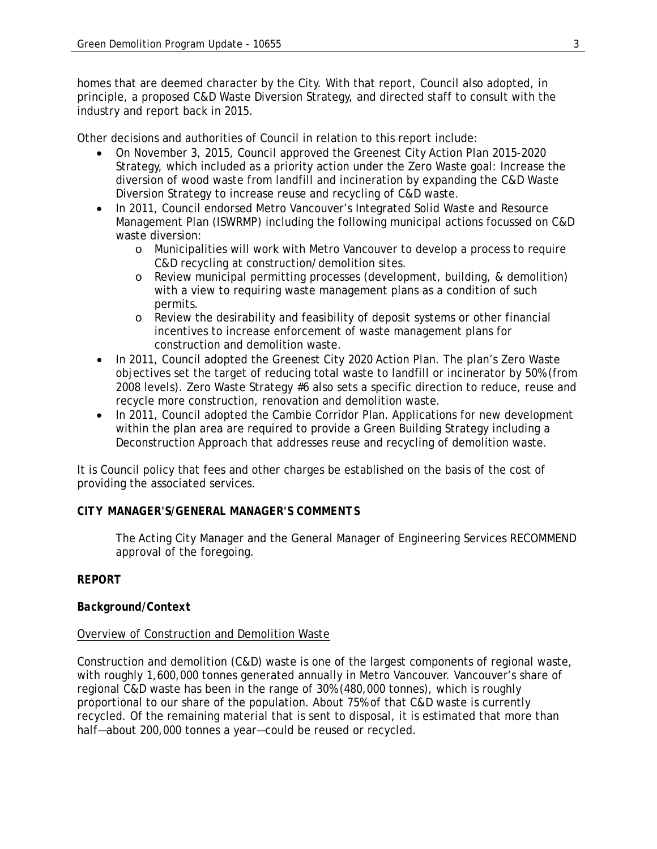homes that are deemed character by the City. With that report, Council also adopted, in principle, a proposed C&D Waste Diversion Strategy, and directed staff to consult with the industry and report back in 2015.

Other decisions and authorities of Council in relation to this report include:

- On November 3, 2015, Council approved the Greenest City Action Plan 2015-2020 Strategy, which included as a priority action under the Zero Waste goal: Increase the diversion of wood waste from landfill and incineration by expanding the C&D Waste Diversion Strategy to increase reuse and recycling of C&D waste.
- In 2011, Council endorsed Metro Vancouver's Integrated Solid Waste and Resource Management Plan (ISWRMP) including the following municipal actions focussed on C&D waste diversion:
	- o Municipalities will work with Metro Vancouver to develop a process to require C&D recycling at construction/demolition sites.
	- o Review municipal permitting processes (development, building, & demolition) with a view to requiring waste management plans as a condition of such permits.
	- o Review the desirability and feasibility of deposit systems or other financial incentives to increase enforcement of waste management plans for construction and demolition waste.
- In 2011, Council adopted the Greenest City 2020 Action Plan. The plan's Zero Waste objectives set the target of reducing total waste to landfill or incinerator by 50% (from 2008 levels). Zero Waste Strategy #6 also sets a specific direction to reduce, reuse and recycle more construction, renovation and demolition waste.
- In 2011, Council adopted the Cambie Corridor Plan. Applications for new development within the plan area are required to provide a Green Building Strategy including a Deconstruction Approach that addresses reuse and recycling of demolition waste.

It is Council policy that fees and other charges be established on the basis of the cost of providing the associated services.

### *CITY MANAGER'S/GENERAL MANAGER'S COMMENTS*

The Acting City Manager and the General Manager of Engineering Services RECOMMEND approval of the foregoing.

## *REPORT*

### *Background/Context*

### Overview of Construction and Demolition Waste

Construction and demolition (C&D) waste is one of the largest components of regional waste, with roughly 1,600,000 tonnes generated annually in Metro Vancouver. Vancouver's share of regional C&D waste has been in the range of 30% (480,000 tonnes), which is roughly proportional to our share of the population. About 75% of that C&D waste is currently recycled. Of the remaining material that is sent to disposal, it is estimated that more than half—about 200,000 tonnes a year—could be reused or recycled.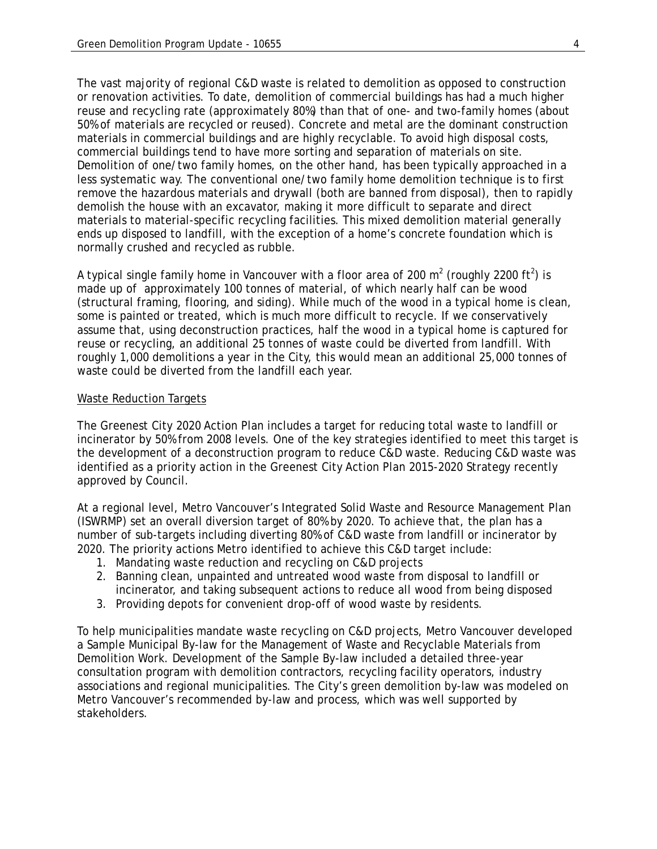The vast majority of regional C&D waste is related to demolition as opposed to construction or renovation activities. To date, demolition of commercial buildings has had a much higher reuse and recycling rate (approximately 80%) than that of one- and two-family homes (about 50% of materials are recycled or reused). Concrete and metal are the dominant construction materials in commercial buildings and are highly recyclable. To avoid high disposal costs, commercial buildings tend to have more sorting and separation of materials on site. Demolition of one/two family homes, on the other hand, has been typically approached in a less systematic way. The conventional one/two family home demolition technique is to first remove the hazardous materials and drywall (both are banned from disposal), then to rapidly demolish the house with an excavator, making it more difficult to separate and direct materials to material-specific recycling facilities. This mixed demolition material generally ends up disposed to landfill, with the exception of a home's concrete foundation which is normally crushed and recycled as rubble.

A typical single family home in Vancouver with a floor area of 200 m<sup>2</sup> (roughly 2200 ft<sup>2</sup>) is made up of approximately 100 tonnes of material, of which nearly half can be wood (structural framing, flooring, and siding). While much of the wood in a typical home is clean, some is painted or treated, which is much more difficult to recycle. If we conservatively assume that, using deconstruction practices, half the wood in a typical home is captured for reuse or recycling, an additional 25 tonnes of waste could be diverted from landfill. With roughly 1,000 demolitions a year in the City, this would mean an additional 25,000 tonnes of waste could be diverted from the landfill each year.

#### Waste Reduction Targets

The Greenest City 2020 Action Plan includes a target for reducing total waste to landfill or incinerator by 50% from 2008 levels. One of the key strategies identified to meet this target is the development of a deconstruction program to reduce C&D waste. Reducing C&D waste was identified as a priority action in the Greenest City Action Plan 2015-2020 Strategy recently approved by Council.

At a regional level, Metro Vancouver's Integrated Solid Waste and Resource Management Plan (ISWRMP) set an overall diversion target of 80% by 2020. To achieve that, the plan has a number of sub-targets including diverting 80% of C&D waste from landfill or incinerator by 2020. The priority actions Metro identified to achieve this C&D target include:

- 1. Mandating waste reduction and recycling on C&D projects
- 2. Banning clean, unpainted and untreated wood waste from disposal to landfill or incinerator, and taking subsequent actions to reduce all wood from being disposed
- 3. Providing depots for convenient drop-off of wood waste by residents.

To help municipalities mandate waste recycling on C&D projects, Metro Vancouver developed a Sample Municipal By-law for the Management of Waste and Recyclable Materials from Demolition Work. Development of the Sample By-law included a detailed three-year consultation program with demolition contractors, recycling facility operators, industry associations and regional municipalities. The City's green demolition by-law was modeled on Metro Vancouver's recommended by-law and process, which was well supported by stakeholders.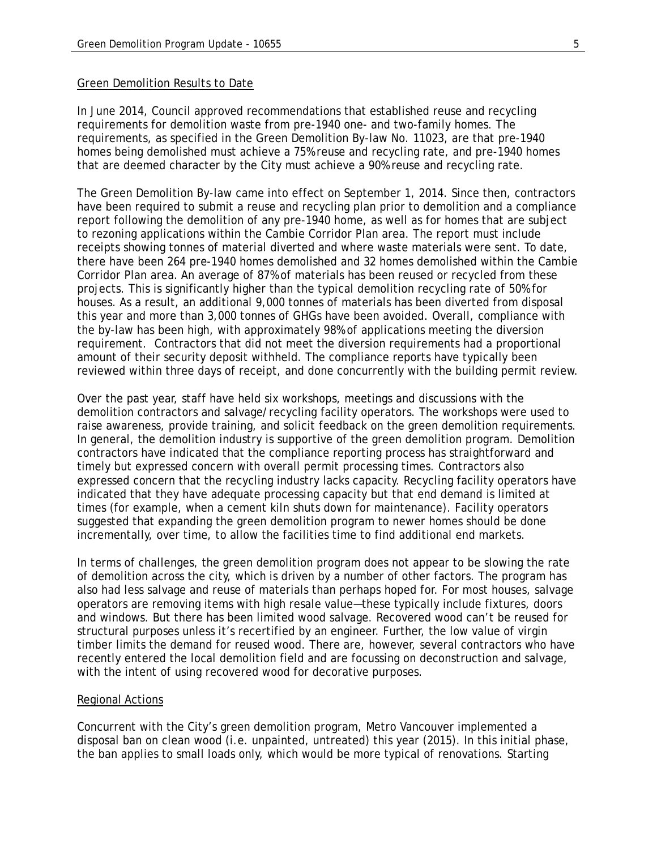#### Green Demolition Results to Date

In June 2014, Council approved recommendations that established reuse and recycling requirements for demolition waste from pre-1940 one- and two-family homes. The requirements, as specified in the Green Demolition By-law No. 11023, are that pre-1940 homes being demolished must achieve a 75% reuse and recycling rate, and pre-1940 homes that are deemed character by the City must achieve a 90% reuse and recycling rate.

The Green Demolition By-law came into effect on September 1, 2014. Since then, contractors have been required to submit a reuse and recycling plan prior to demolition and a compliance report following the demolition of any pre-1940 home, as well as for homes that are subject to rezoning applications within the Cambie Corridor Plan area. The report must include receipts showing tonnes of material diverted and where waste materials were sent. To date, there have been 264 pre-1940 homes demolished and 32 homes demolished within the Cambie Corridor Plan area. An average of 87% of materials has been reused or recycled from these projects. This is significantly higher than the typical demolition recycling rate of 50% for houses. As a result, an additional 9,000 tonnes of materials has been diverted from disposal this year and more than 3,000 tonnes of GHGs have been avoided. Overall, compliance with the by-law has been high, with approximately 98% of applications meeting the diversion requirement. Contractors that did not meet the diversion requirements had a proportional amount of their security deposit withheld. The compliance reports have typically been reviewed within three days of receipt, and done concurrently with the building permit review.

Over the past year, staff have held six workshops, meetings and discussions with the demolition contractors and salvage/recycling facility operators. The workshops were used to raise awareness, provide training, and solicit feedback on the green demolition requirements. In general, the demolition industry is supportive of the green demolition program. Demolition contractors have indicated that the compliance reporting process has straightforward and timely but expressed concern with overall permit processing times. Contractors also expressed concern that the recycling industry lacks capacity. Recycling facility operators have indicated that they have adequate processing capacity but that end demand is limited at times (for example, when a cement kiln shuts down for maintenance). Facility operators suggested that expanding the green demolition program to newer homes should be done incrementally, over time, to allow the facilities time to find additional end markets.

In terms of challenges, the green demolition program does not appear to be slowing the rate of demolition across the city, which is driven by a number of other factors. The program has also had less salvage and reuse of materials than perhaps hoped for. For most houses, salvage operators are removing items with high resale value—these typically include fixtures, doors and windows. But there has been limited wood salvage. Recovered wood can't be reused for structural purposes unless it's recertified by an engineer. Further, the low value of virgin timber limits the demand for reused wood. There are, however, several contractors who have recently entered the local demolition field and are focussing on deconstruction and salvage, with the intent of using recovered wood for decorative purposes.

#### Regional Actions

Concurrent with the City's green demolition program, Metro Vancouver implemented a disposal ban on clean wood (i.e. unpainted, untreated) this year (2015). In this initial phase, the ban applies to small loads only, which would be more typical of renovations. Starting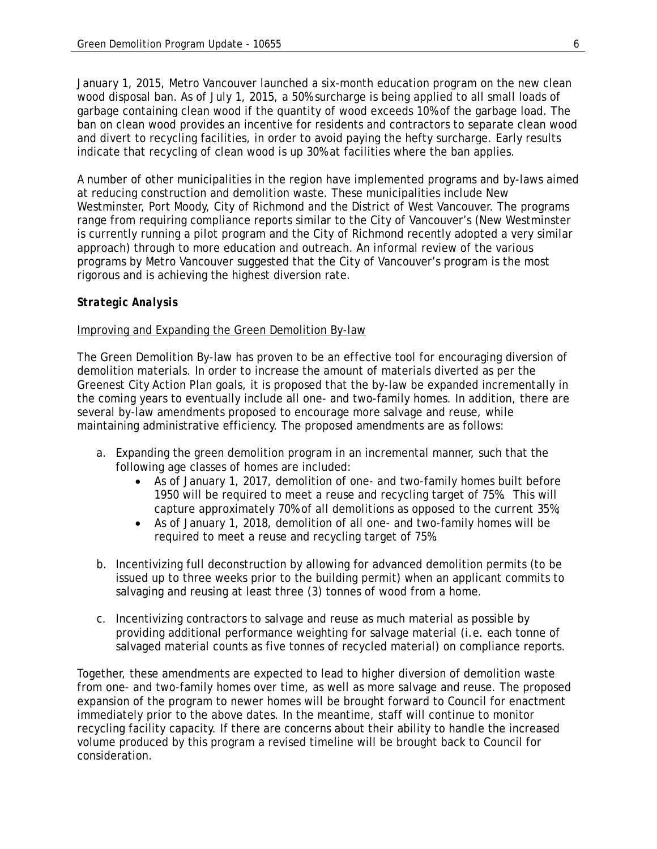January 1, 2015, Metro Vancouver launched a six-month education program on the new clean wood disposal ban. As of July 1, 2015, a 50% surcharge is being applied to all small loads of garbage containing clean wood if the quantity of wood exceeds 10% of the garbage load. The ban on clean wood provides an incentive for residents and contractors to separate clean wood and divert to recycling facilities, in order to avoid paying the hefty surcharge. Early results indicate that recycling of clean wood is up 30% at facilities where the ban applies.

A number of other municipalities in the region have implemented programs and by-laws aimed at reducing construction and demolition waste. These municipalities include New Westminster, Port Moody, City of Richmond and the District of West Vancouver. The programs range from requiring compliance reports similar to the City of Vancouver's (New Westminster is currently running a pilot program and the City of Richmond recently adopted a very similar approach) through to more education and outreach. An informal review of the various programs by Metro Vancouver suggested that the City of Vancouver's program is the most rigorous and is achieving the highest diversion rate.

### *Strategic Analysis*

### Improving and Expanding the Green Demolition By-law

The Green Demolition By-law has proven to be an effective tool for encouraging diversion of demolition materials. In order to increase the amount of materials diverted as per the Greenest City Action Plan goals, it is proposed that the by-law be expanded incrementally in the coming years to eventually include all one- and two-family homes. In addition, there are several by-law amendments proposed to encourage more salvage and reuse, while maintaining administrative efficiency. The proposed amendments are as follows:

- a. Expanding the green demolition program in an incremental manner, such that the following age classes of homes are included:
	- As of January 1, 2017, demolition of one- and two-family homes built before 1950 will be required to meet a reuse and recycling target of 75%. This will capture approximately 70% of all demolitions as opposed to the current 35%;
	- As of January 1, 2018, demolition of all one- and two-family homes will be required to meet a reuse and recycling target of 75%.
- b. Incentivizing full deconstruction by allowing for advanced demolition permits (to be issued up to three weeks prior to the building permit) when an applicant commits to salvaging and reusing at least three (3) tonnes of wood from a home.
- c. Incentivizing contractors to salvage and reuse as much material as possible by providing additional performance weighting for salvage material (i.e. each tonne of salvaged material counts as five tonnes of recycled material) on compliance reports.

Together, these amendments are expected to lead to higher diversion of demolition waste from one- and two-family homes over time, as well as more salvage and reuse. The proposed expansion of the program to newer homes will be brought forward to Council for enactment immediately prior to the above dates. In the meantime, staff will continue to monitor recycling facility capacity. If there are concerns about their ability to handle the increased volume produced by this program a revised timeline will be brought back to Council for consideration.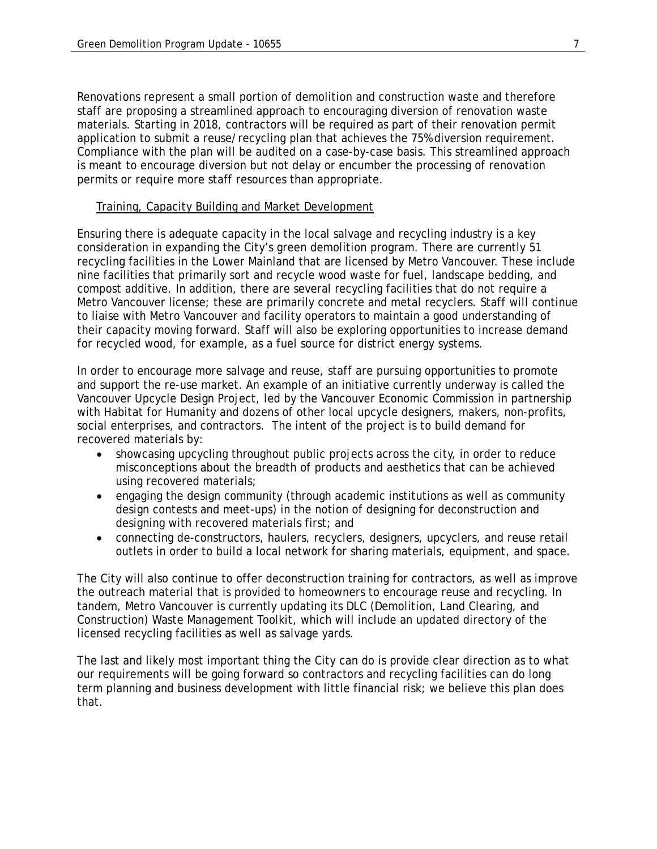Renovations represent a small portion of demolition and construction waste and therefore staff are proposing a streamlined approach to encouraging diversion of renovation waste materials. Starting in 2018, contractors will be required as part of their renovation permit application to submit a reuse/recycling plan that achieves the 75% diversion requirement. Compliance with the plan will be audited on a case-by-case basis. This streamlined approach is meant to encourage diversion but not delay or encumber the processing of renovation permits or require more staff resources than appropriate.

#### Training, Capacity Building and Market Development

Ensuring there is adequate capacity in the local salvage and recycling industry is a key consideration in expanding the City's green demolition program. There are currently 51 recycling facilities in the Lower Mainland that are licensed by Metro Vancouver. These include nine facilities that primarily sort and recycle wood waste for fuel, landscape bedding, and compost additive. In addition, there are several recycling facilities that do not require a Metro Vancouver license; these are primarily concrete and metal recyclers. Staff will continue to liaise with Metro Vancouver and facility operators to maintain a good understanding of their capacity moving forward. Staff will also be exploring opportunities to increase demand for recycled wood, for example, as a fuel source for district energy systems.

In order to encourage more salvage and reuse, staff are pursuing opportunities to promote and support the re-use market. An example of an initiative currently underway is called the Vancouver Upcycle Design Project, led by the Vancouver Economic Commission in partnership with Habitat for Humanity and dozens of other local upcycle designers, makers, non-profits, social enterprises, and contractors. The intent of the project is to build demand for recovered materials by:

- showcasing upcycling throughout public projects across the city, in order to reduce misconceptions about the breadth of products and aesthetics that can be achieved using recovered materials;
- engaging the design community (through academic institutions as well as community design contests and meet-ups) in the notion of designing for deconstruction and designing with recovered materials first; and
- connecting de-constructors, haulers, recyclers, designers, upcyclers, and reuse retail outlets in order to build a local network for sharing materials, equipment, and space.

The City will also continue to offer deconstruction training for contractors, as well as improve the outreach material that is provided to homeowners to encourage reuse and recycling. In tandem, Metro Vancouver is currently updating its DLC (Demolition, Land Clearing, and Construction) Waste Management Toolkit, which will include an updated directory of the licensed recycling facilities as well as salvage yards.

The last and likely most important thing the City can do is provide clear direction as to what our requirements will be going forward so contractors and recycling facilities can do long term planning and business development with little financial risk; we believe this plan does that.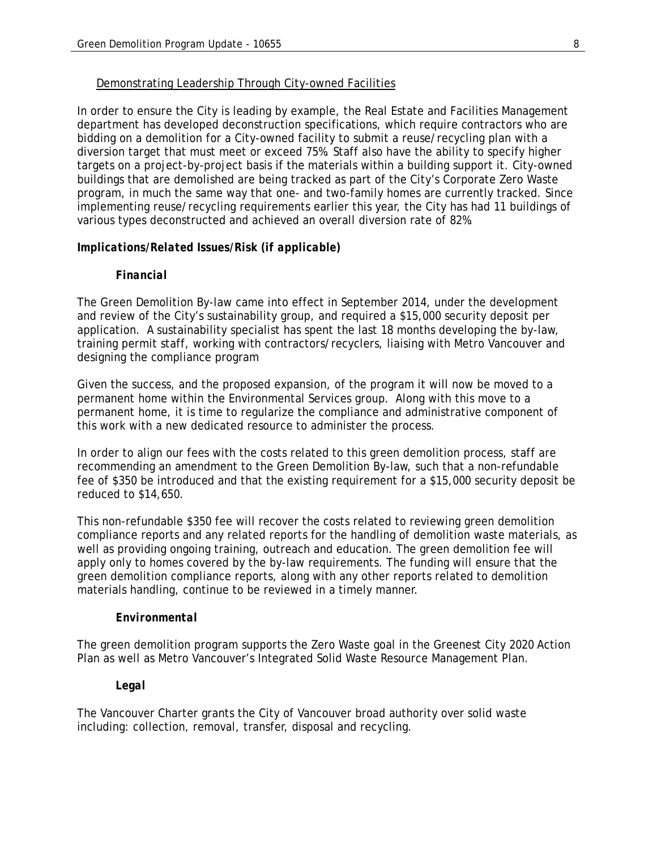#### Demonstrating Leadership Through City-owned Facilities

In order to ensure the City is leading by example, the Real Estate and Facilities Management department has developed deconstruction specifications, which require contractors who are bidding on a demolition for a City-owned facility to submit a reuse/recycling plan with a diversion target that must meet or exceed 75%. Staff also have the ability to specify higher targets on a project-by-project basis if the materials within a building support it. City-owned buildings that are demolished are being tracked as part of the City's Corporate Zero Waste program, in much the same way that one- and two-family homes are currently tracked. Since implementing reuse/recycling requirements earlier this year, the City has had 11 buildings of various types deconstructed and achieved an overall diversion rate of 82%.

### *Implications/Related Issues/Risk (if applicable)*

### *Financial*

The Green Demolition By-law came into effect in September 2014, under the development and review of the City's sustainability group, and required a \$15,000 security deposit per application. A sustainability specialist has spent the last 18 months developing the by-law, training permit staff, working with contractors/recyclers, liaising with Metro Vancouver and designing the compliance program

Given the success, and the proposed expansion, of the program it will now be moved to a permanent home within the Environmental Services group. Along with this move to a permanent home, it is time to regularize the compliance and administrative component of this work with a new dedicated resource to administer the process.

In order to align our fees with the costs related to this green demolition process, staff are recommending an amendment to the Green Demolition By-law, such that a non-refundable fee of \$350 be introduced and that the existing requirement for a \$15,000 security deposit be reduced to \$14,650.

This non-refundable \$350 fee will recover the costs related to reviewing green demolition compliance reports and any related reports for the handling of demolition waste materials, as well as providing ongoing training, outreach and education. The green demolition fee will apply only to homes covered by the by-law requirements. The funding will ensure that the green demolition compliance reports, along with any other reports related to demolition materials handling, continue to be reviewed in a timely manner.

#### *Environmental*

The green demolition program supports the Zero Waste goal in the Greenest City 2020 Action Plan as well as Metro Vancouver's Integrated Solid Waste Resource Management Plan.

### *Legal*

The Vancouver Charter grants the City of Vancouver broad authority over solid waste including: collection, removal, transfer, disposal and recycling.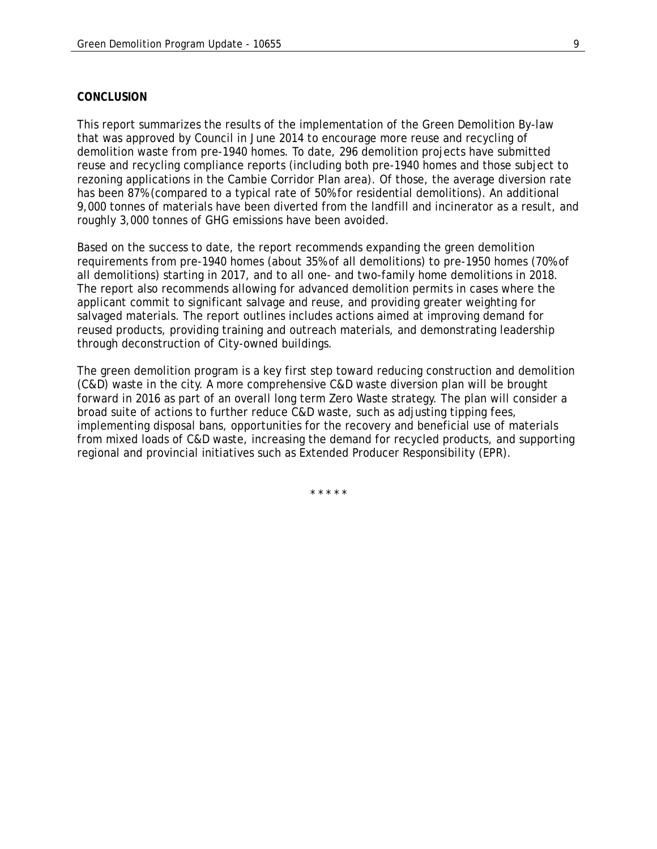#### *CONCLUSION*

This report summarizes the results of the implementation of the Green Demolition By-law that was approved by Council in June 2014 to encourage more reuse and recycling of demolition waste from pre-1940 homes. To date, 296 demolition projects have submitted reuse and recycling compliance reports (including both pre-1940 homes and those subject to rezoning applications in the Cambie Corridor Plan area). Of those, the average diversion rate has been 87% (compared to a typical rate of 50% for residential demolitions). An additional 9,000 tonnes of materials have been diverted from the landfill and incinerator as a result, and roughly 3,000 tonnes of GHG emissions have been avoided.

Based on the success to date, the report recommends expanding the green demolition requirements from pre-1940 homes (about 35% of all demolitions) to pre-1950 homes (70% of all demolitions) starting in 2017, and to all one- and two-family home demolitions in 2018. The report also recommends allowing for advanced demolition permits in cases where the applicant commit to significant salvage and reuse, and providing greater weighting for salvaged materials. The report outlines includes actions aimed at improving demand for reused products, providing training and outreach materials, and demonstrating leadership through deconstruction of City-owned buildings.

The green demolition program is a key first step toward reducing construction and demolition (C&D) waste in the city. A more comprehensive C&D waste diversion plan will be brought forward in 2016 as part of an overall long term Zero Waste strategy. The plan will consider a broad suite of actions to further reduce C&D waste, such as adjusting tipping fees, implementing disposal bans, opportunities for the recovery and beneficial use of materials from mixed loads of C&D waste, increasing the demand for recycled products, and supporting regional and provincial initiatives such as Extended Producer Responsibility (EPR).

\* \* \* \* \*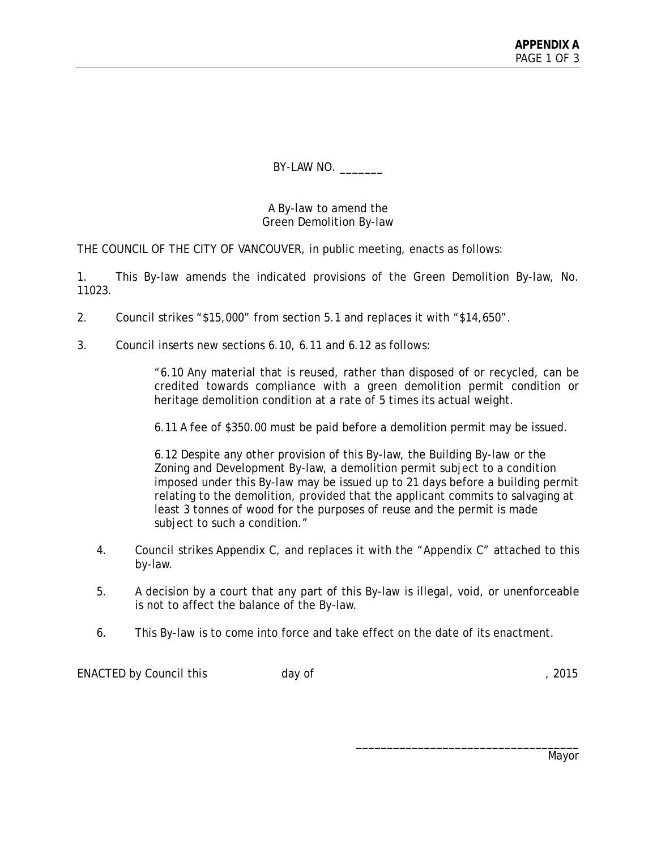BY-LAW NO. \_\_\_\_\_\_\_\_

A By-law to amend the Green Demolition By-law

THE COUNCIL OF THE CITY OF VANCOUVER, in public meeting, enacts as follows:

1. This By-law amends the indicated provisions of the Green Demolition By-law, No. 11023.

- 2. Council strikes "\$15,000" from section 5.1 and replaces it with "\$14,650".
- 3. Council inserts new sections 6.10, 6.11 and 6.12 as follows:

"6.10 Any material that is reused, rather than disposed of or recycled, can be credited towards compliance with a green demolition permit condition or heritage demolition condition at a rate of 5 times its actual weight.

6.11 A fee of \$350.00 must be paid before a demolition permit may be issued.

6.12 Despite any other provision of this By-law, the Building By-law or the Zoning and Development By-law, a demolition permit subject to a condition imposed under this By-law may be issued up to 21 days before a building permit relating to the demolition, provided that the applicant commits to salvaging at least 3 tonnes of wood for the purposes of reuse and the permit is made subject to such a condition."

- 4. Council strikes Appendix C, and replaces it with the "Appendix C" attached to this by-law.
- 5. A decision by a court that any part of this By-law is illegal, void, or unenforceable is not to affect the balance of the By-law.
- 6. This By-law is to come into force and take effect on the date of its enactment.

ENACTED by Council this day of the state of the state of the state of the state of the state of the state of the state of the state of the state of the state of the state of the state of the state of the state of the state

Mayor

\_\_\_\_\_\_\_\_\_\_\_\_\_\_\_\_\_\_\_\_\_\_\_\_\_\_\_\_\_\_\_\_\_\_\_\_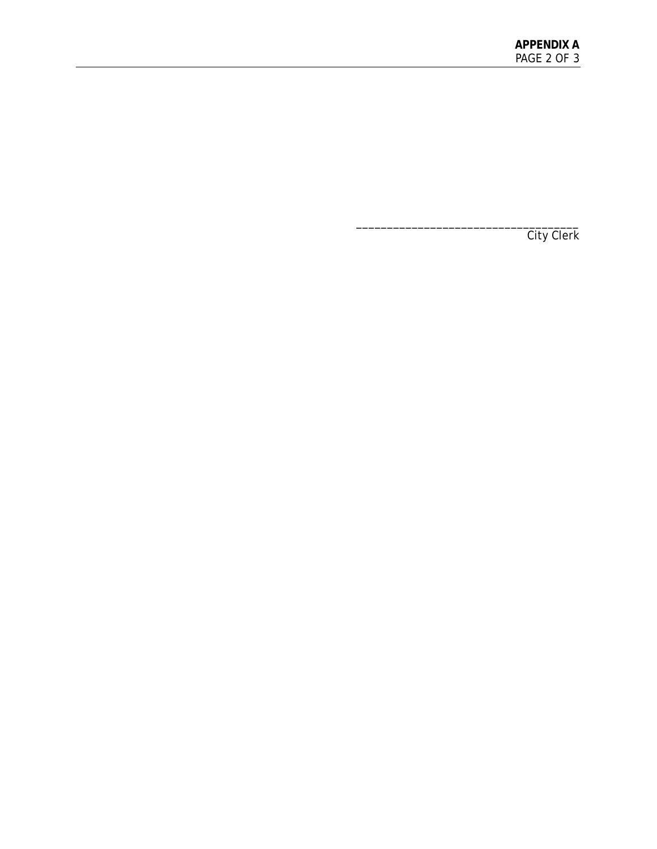\_\_\_\_\_\_\_\_\_\_\_\_\_\_\_\_\_\_\_\_\_\_\_\_\_\_\_\_\_\_\_\_\_\_\_\_ City Clerk